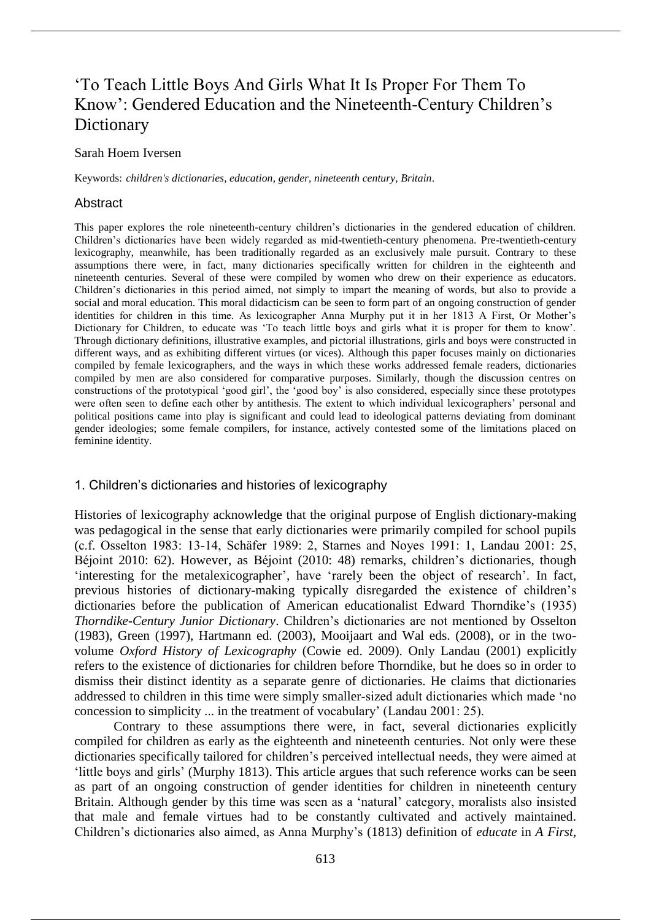# 'To Teach Little Boys And Girls What It Is Proper For Them To Know': Gendered Education and the Nineteenth-Century Children's Dictionary

#### Sarah Hoem Iversen

Keywords: *children's dictionaries*, *education*, *gender*, *nineteenth century*, *Britain*.

## **Abstract**

This paper explores the role nineteenth-century children's dictionaries in the gendered education of children. Children's dictionaries have been widely regarded as mid-twentieth-century phenomena. Pre-twentieth-century lexicography, meanwhile, has been traditionally regarded as an exclusively male pursuit. Contrary to these assumptions there were, in fact, many dictionaries specifically written for children in the eighteenth and nineteenth centuries. Several of these were compiled by women who drew on their experience as educators. Children's dictionaries in this period aimed, not simply to impart the meaning of words, but also to provide a social and moral education. This moral didacticism can be seen to form part of an ongoing construction of gender identities for children in this time. As lexicographer Anna Murphy put it in her 1813 A First, Or Mother's Dictionary for Children, to educate was 'To teach little boys and girls what it is proper for them to know'. Through dictionary definitions, illustrative examples, and pictorial illustrations, girls and boys were constructed in different ways, and as exhibiting different virtues (or vices). Although this paper focuses mainly on dictionaries compiled by female lexicographers, and the ways in which these works addressed female readers, dictionaries compiled by men are also considered for comparative purposes. Similarly, though the discussion centres on constructions of the prototypical 'good girl', the 'good boy' is also considered, especially since these prototypes were often seen to define each other by antithesis. The extent to which individual lexicographers' personal and political positions came into play is significant and could lead to ideological patterns deviating from dominant gender ideologies; some female compilers, for instance, actively contested some of the limitations placed on feminine identity.

## 1. Children's dictionaries and histories of lexicography

Histories of lexicography acknowledge that the original purpose of English dictionary-making was pedagogical in the sense that early dictionaries were primarily compiled for school pupils (c.f. Osselton 1983: 13-14, Schäfer 1989: 2, Starnes and Noyes 1991: 1, Landau 2001: 25, Béjoint 2010: 62). However, as Béjoint (2010: 48) remarks, children's dictionaries, though 'interesting for the metalexicographer', have 'rarely been the object of research'. In fact, previous histories of dictionary-making typically disregarded the existence of children's dictionaries before the publication of American educationalist Edward Thorndike's (1935) *Thorndike-Century Junior Dictionary*. Children's dictionaries are not mentioned by Osselton (1983), Green (1997), Hartmann ed. (2003), Mooijaart and Wal eds. (2008), or in the twovolume *Oxford History of Lexicography* (Cowie ed. 2009). Only Landau (2001) explicitly refers to the existence of dictionaries for children before Thorndike, but he does so in order to dismiss their distinct identity as a separate genre of dictionaries. He claims that dictionaries addressed to children in this time were simply smaller-sized adult dictionaries which made 'no concession to simplicity  $\ldots$  in the treatment of vocabulary' (Landau 2001: 25).

Contrary to these assumptions there were, in fact, several dictionaries explicitly compiled for children as early as the eighteenth and nineteenth centuries. Not only were these dictionaries specifically tailored for children's perceived intellectual needs, they were aimed at 'little boys and girls' (Murphy 1813). This article argues that such reference works can be seen as part of an ongoing construction of gender identities for children in nineteenth century Britain. Although gender by this time was seen as a 'natural' category, moralists also insisted that male and female virtues had to be constantly cultivated and actively maintained. Children's dictionaries also aimed, as Anna Murphy's (1813) definition of *educate* in *A First,*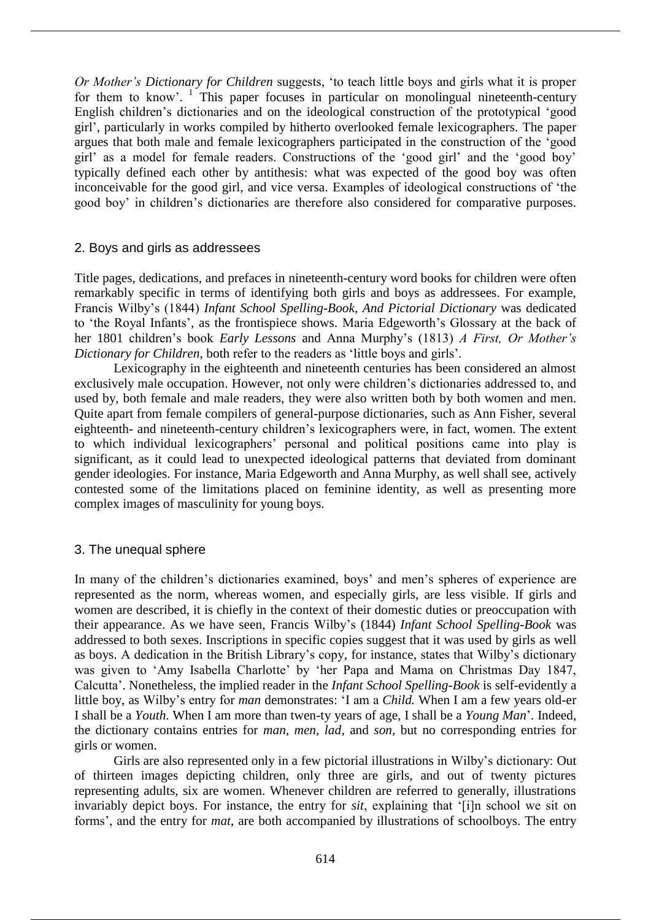*Or Mother's Dictionary for Children* suggests, 'to teach little boys and girls what it is proper for them to know'.<sup>1</sup> This paper focuses in particular on monolingual nineteenth-century English children's dictionaries and on the ideological construction of the prototypical 'good girl', particularly in works compiled by hitherto overlooked female lexicographers. The paper argues that both male and female lexicographers participated in the construction of the 'good girl' as a model for female readers. Constructions of the 'good girl' and the 'good boy' typically defined each other by antithesis: what was expected of the good boy was often inconceivable for the good girl, and vice versa. Examples of ideological constructions of 'the good boy' in children's dictionaries are therefore also considered for comparative purposes.

## 2. Boys and girls as addressees

Title pages, dedications, and prefaces in nineteenth-century word books for children were often remarkably specific in terms of identifying both girls and boys as addressees. For example, Francis Wilby's (1844) *Infant School Spelling-Book, And Pictorial Dictionary* was dedicated to 'the Royal Infants', as the frontispiece shows. Maria Edgeworth's Glossary at the back of her 1801 children's book *Early Lessons* and Anna Murphy's (1813) *A First, Or Mother's Dictionary for Children*, both refer to the readers as 'little boys and girls'.

Lexicography in the eighteenth and nineteenth centuries has been considered an almost exclusively male occupation. However, not only were children's dictionaries addressed to, and used by, both female and male readers, they were also written both by both women and men. Quite apart from female compilers of general-purpose dictionaries, such as Ann Fisher, several eighteenth- and nineteenth-century children's lexicographers were, in fact, women. The extent to which individual lexicographers' personal and political positions came into play is significant, as it could lead to unexpected ideological patterns that deviated from dominant gender ideologies. For instance, Maria Edgeworth and Anna Murphy, as well shall see, actively contested some of the limitations placed on feminine identity, as well as presenting more complex images of masculinity for young boys.

# 3. The unequal sphere

In many of the children's dictionaries examined, boys' and men's spheres of experience are represented as the norm, whereas women, and especially girls, are less visible. If girls and women are described, it is chiefly in the context of their domestic duties or preoccupation with their appearance. As we have seen, Francis Wilby's (1844) *Infant School Spelling-Book* was addressed to both sexes. Inscriptions in specific copies suggest that it was used by girls as well as boys. A dedication in the British Library's copy, for instance, states that Wilby's dictionary was given to 'Amy Isabella Charlotte' by 'her Papa and Mama on Christmas Day 1847, Calcutta'. Nonetheless, the implied reader in the *Infant School Spelling-Book* is self-evidently a little boy, as Wilby's entry for *man* demonstrates: 'I am a *Child.* When I am a few years old-er I shall be a *Youth*. When I am more than twen-ty years of age, I shall be a *Young Man*'. Indeed, the dictionary contains entries for *man, men, lad,* and *son,* but no corresponding entries for girls or women.

Girls are also represented only in a few pictorial illustrations in Wilby's dictionary: Out of thirteen images depicting children, only three are girls, and out of twenty pictures representing adults, six are women. Whenever children are referred to generally, illustrations invariably depict boys. For instance, the entry for *sit*, explaining that '[i]n school we sit on forms', and the entry for *mat*, are both accompanied by illustrations of schoolboys. The entry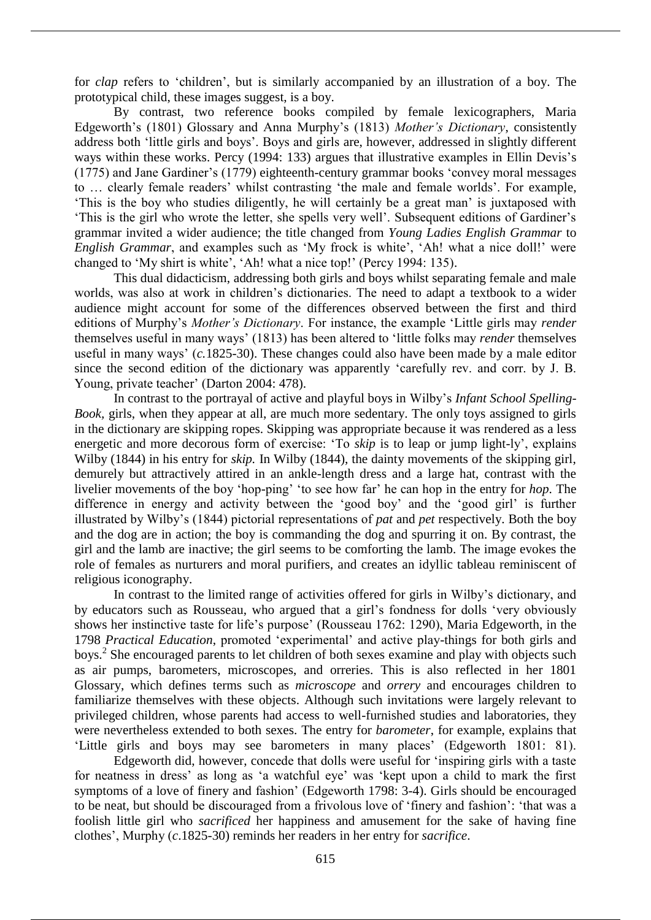for *clap* refers to 'children', but is similarly accompanied by an illustration of a boy. The prototypical child, these images suggest, is a boy.

By contrast, two reference books compiled by female lexicographers, Maria Edgeworth's (1801) Glossary and Anna Murphy's (1813) *Mother's Dictionary*, consistently address both 'little girls and boys'. Boys and girls are, however, addressed in slightly different ways within these works. Percy (1994: 133) argues that illustrative examples in Ellin Devis's (1775) and Jane Gardiner's (1779) eighteenth-century grammar books 'convey moral messages to … clearly female readers' whilst contrasting 'the male and female worlds'. For example, 'This is the boy who studies diligently, he will certainly be a great man' is uxtaposed with 'This is the girl who wrote the letter, she spells very well'. Subsequent editions of Gardiner's grammar invited a wider audience; the title changed from *Young Ladies English Grammar* to *English Grammar*, and examples such as 'My frock is white', 'Ah! what a nice doll!' were changed to 'My shirt is white', 'Ah! what a nice top!' (Percy 1994: 135).

This dual didacticism, addressing both girls and boys whilst separating female and male worlds, was also at work in children's dictionaries. The need to adapt a textbook to a wider audience might account for some of the differences observed between the first and third editions of Murphy's *Mother's Dictionary*. For instance, the example 'Little girls may *render*  themselves useful in many ways' (1813) has been altered to 'little folks may *render* themselves useful in many ways' (*c.*1825-30). These changes could also have been made by a male editor since the second edition of the dictionary was apparently 'carefully rev. and corr. by J. B. Young, private teacher' (Darton 2004: 478).

In contrast to the portrayal of active and playful boys in Wilby's *Infant School Spelling-Book,* girls, when they appear at all, are much more sedentary. The only toys assigned to girls in the dictionary are skipping ropes. Skipping was appropriate because it was rendered as a less energetic and more decorous form of exercise: 'To *skip* is to leap or jump light-ly', explains Wilby (1844) in his entry for *skip.* In Wilby (1844), the dainty movements of the skipping girl, demurely but attractively attired in an ankle-length dress and a large hat, contrast with the livelier movements of the boy 'hop-ping' 'to see how far' he can hop in the entry for *hop*. The difference in energy and activity between the 'good boy' and the 'good girl' is further illustrated by Wilby's (1844) pictorial representations of *pat* and *pet* respectively. Both the boy and the dog are in action; the boy is commanding the dog and spurring it on. By contrast, the girl and the lamb are inactive; the girl seems to be comforting the lamb. The image evokes the role of females as nurturers and moral purifiers, and creates an idyllic tableau reminiscent of religious iconography.

In contrast to the limited range of activities offered for girls in Wilby's dictionary, and by educators such as Rousseau, who argued that a girl's fondness for dolls 'very obviously shows her instinctive taste for life's purpose' (Rousseau 1762: 1290), Maria Edgeworth, in the 1798 *Practical Education*, promoted 'experimental' and active play-things for both girls and boys.<sup>2</sup> She encouraged parents to let children of both sexes examine and play with objects such as air pumps, barometers, microscopes, and orreries. This is also reflected in her 1801 Glossary, which defines terms such as *microscope* and *orrery* and encourages children to familiarize themselves with these objects. Although such invitations were largely relevant to privileged children, whose parents had access to well-furnished studies and laboratories, they were nevertheless extended to both sexes. The entry for *barometer*, for example, explains that 'Little girls and boys may see barometers in many places' (Edgeworth 1801: 81).

Edgeworth did, however, concede that dolls were useful for 'inspiring girls with a taste for neatness in dress' as long as 'a watchful eye' was 'kept upon a child to mark the first symptoms of a love of finery and fashion' (Edgeworth 1798: 3-4). Girls should be encouraged to be neat, but should be discouraged from a frivolous love of 'finery and fashion': 'that was a foolish little girl who *sacrificed* her happiness and amusement for the sake of having fine clothes', Murphy (*c*.1825-30) reminds her readers in her entry for *sacrifice*.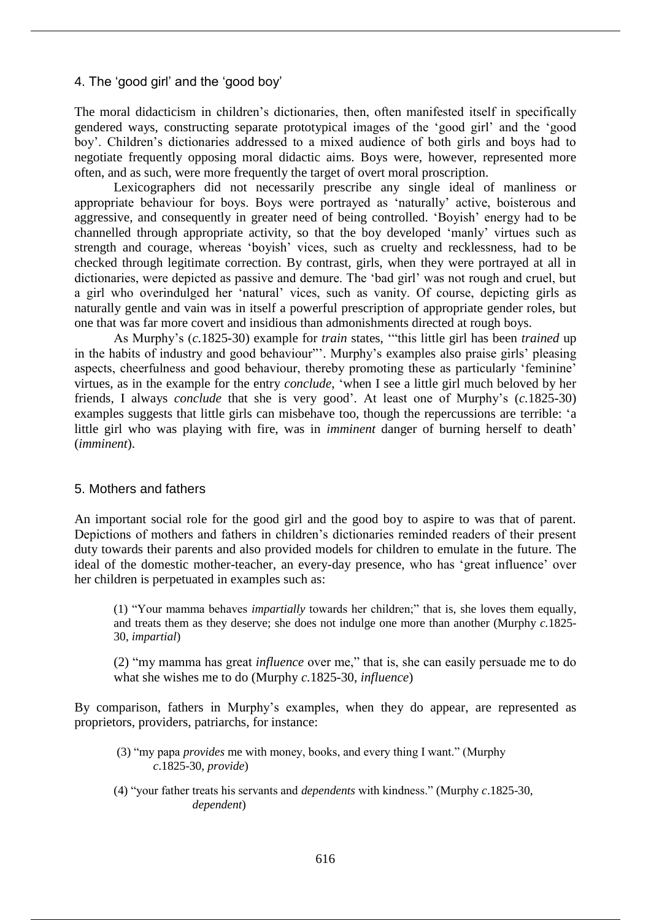## 4. The 'good girl' and the 'good boy'

The moral didacticism in children's dictionaries, then, often manifested itself in specifically gendered ways, constructing separate prototypical images of the 'good girl' and the 'good boy'. Children's dictionaries addressed to a mixed audience of both girls and boys had to negotiate frequently opposing moral didactic aims. Boys were, however, represented more often, and as such, were more frequently the target of overt moral proscription.

Lexicographers did not necessarily prescribe any single ideal of manliness or appropriate behaviour for boys. Boys were portrayed as 'naturally' active, boisterous and aggressive, and consequently in greater need of being controlled. 'Boyish' energy had to be channelled through appropriate activity, so that the boy developed 'manly' virtues such as strength and courage, whereas 'boyish' vices, such as cruelty and recklessness, had to be checked through legitimate correction. By contrast, girls, when they were portrayed at all in dictionaries, were depicted as passive and demure. The 'bad girl' was not rough and cruel, but a girl who overindulged her 'natural' vices, such as vanity. Of course, depicting girls as naturally gentle and vain was in itself a powerful prescription of appropriate gender roles, but one that was far more covert and insidious than admonishments directed at rough boys.

As Murphy's (*c.*1825-30) example for *train* states, '"this little girl has been *trained* up in the habits of industry and good behaviour"'. Murphy's examples also praise girls' pleasing aspects, cheerfulness and good behaviour, thereby promoting these as particularly 'feminine' virtues, as in the example for the entry *conclude,* 'when I see a little girl much beloved by her friends, I always *conclude* that she is very good'. At least one of Murphy's (*c.*1825-30) examples suggests that little girls can misbehave too, though the repercussions are terrible: 'a little girl who was playing with fire, was in *imminent* danger of burning herself to death' (*imminent*).

## 5. Mothers and fathers

An important social role for the good girl and the good boy to aspire to was that of parent. Depictions of mothers and fathers in children's dictionaries reminded readers of their present duty towards their parents and also provided models for children to emulate in the future. The ideal of the domestic mother-teacher, an every-day presence, who has 'great influence' over her children is perpetuated in examples such as:

(1) "Your mamma behaves *impartially* towards her children;" that is, she loves them equally, and treats them as they deserve; she does not indulge one more than another (Murphy *c.*1825- 30, *impartial*)

(2) "my mamma has great *influence* over me," that is, she can easily persuade me to do what she wishes me to do (Murphy *c.*1825-30, *influence*)

By comparison, fathers in Murphy's examples, when they do appear, are represented as proprietors, providers, patriarchs, for instance:

- (3) "my papa *provides* me with money, books, and every thing I want." (Murphy *c*.1825-30, *provide*)
- (4) "your father treats his servants and *dependents* with kindness." (Murphy *c*.1825-30, *dependent*)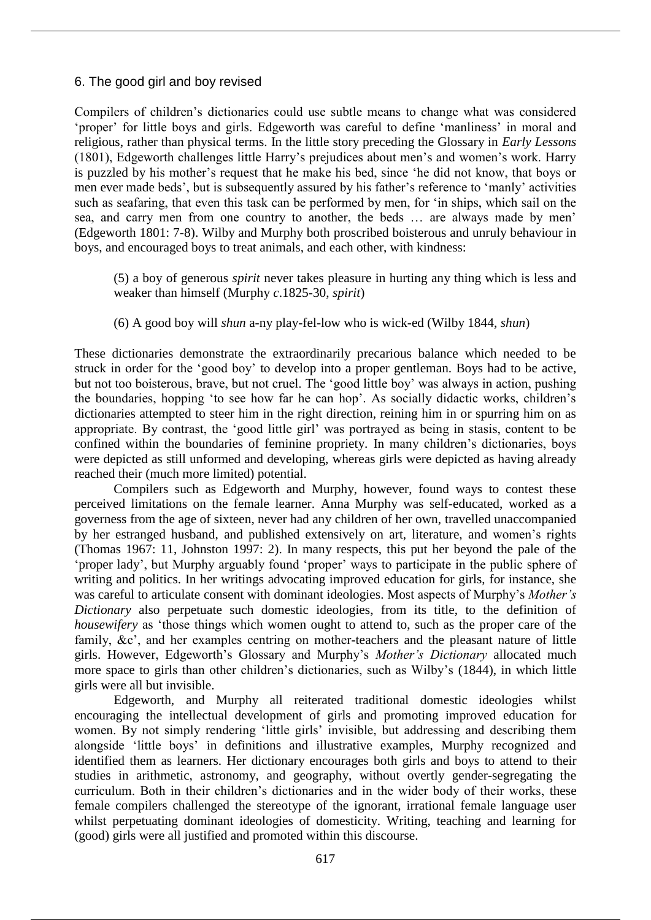# 6. The good girl and boy revised

Compilers of children's dictionaries could use subtle means to change what was considered 'proper' for little boys and girls. Edgeworth was careful to define 'manliness' in moral and religious, rather than physical terms. In the little story preceding the Glossary in *Early Lessons*  (1801), Edgeworth challenges little Harry's prejudices about men's and women's work. Harry is puzzled by his mother's request that he make his bed, since 'he did not know, that boys or men ever made beds', but is subsequently assured by his father's reference to 'manly' activities such as seafaring, that even this task can be performed by men, for 'in ships, which sail on the sea, and carry men from one country to another, the beds … are always made by men' (Edgeworth 1801: 7-8). Wilby and Murphy both proscribed boisterous and unruly behaviour in boys, and encouraged boys to treat animals, and each other, with kindness:

(5) a boy of generous *spirit* never takes pleasure in hurting any thing which is less and weaker than himself (Murphy *c*.1825-30, *spirit*)

(6) A good boy will *shun* a-ny play-fel-low who is wick-ed (Wilby 1844, *shun*)

These dictionaries demonstrate the extraordinarily precarious balance which needed to be struck in order for the 'good boy' to develop into a proper gentleman. Boys had to be active, but not too boisterous, brave, but not cruel. The 'good little boy' was always in action, pushing the boundaries, hopping 'to see how far he can hop'. As socially didactic works, children's dictionaries attempted to steer him in the right direction, reining him in or spurring him on as appropriate. By contrast, the 'good little girl' was portrayed as being in stasis, content to be confined within the boundaries of feminine propriety. In many children's dictionaries, boys were depicted as still unformed and developing, whereas girls were depicted as having already reached their (much more limited) potential.

Compilers such as Edgeworth and Murphy, however, found ways to contest these perceived limitations on the female learner. Anna Murphy was self-educated, worked as a governess from the age of sixteen, never had any children of her own, travelled unaccompanied by her estranged husband, and published extensively on art, literature, and women's rights (Thomas 1967: 11, Johnston 1997: 2). In many respects, this put her beyond the pale of the 'proper lady', but Murphy arguably found 'proper' ways to participate in the public sphere of writing and politics. In her writings advocating improved education for girls, for instance, she was careful to articulate consent with dominant ideologies. Most aspects of Murphy's *Mother's Dictionary* also perpetuate such domestic ideologies, from its title, to the definition of *housewifery* as 'those things which women ought to attend to, such as the proper care of the family, &c', and her examples centring on mother-teachers and the pleasant nature of little girls. However, Edgeworth's Glossary and Murphy's *Mother's Dictionary* allocated much more space to girls than other children's dictionaries, such as Wilby's (1844), in which little girls were all but invisible.

Edgeworth, and Murphy all reiterated traditional domestic ideologies whilst encouraging the intellectual development of girls and promoting improved education for women. By not simply rendering 'little girls' invisible, but addressing and describing them alongside 'little boys' in definitions and illustrative examples, Murphy recognized and identified them as learners. Her dictionary encourages both girls and boys to attend to their studies in arithmetic, astronomy, and geography, without overtly gender-segregating the curriculum. Both in their children's dictionaries and in the wider body of their works, these female compilers challenged the stereotype of the ignorant, irrational female language user whilst perpetuating dominant ideologies of domesticity. Writing, teaching and learning for (good) girls were all justified and promoted within this discourse.